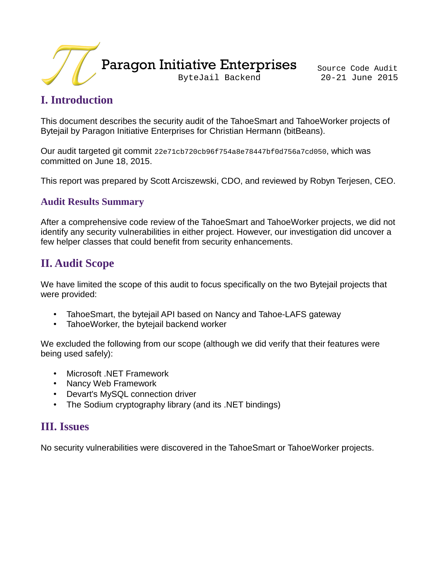

## **I. Introduction**

This document describes the security audit of the TahoeSmart and TahoeWorker projects of Bytejail by Paragon Initiative Enterprises for Christian Hermann (bitBeans).

Our audit targeted git commit 22e71cb720cb96f754a8e78447bf0d756a7cd050, which was committed on June 18, 2015.

This report was prepared by Scott Arciszewski, CDO, and reviewed by Robyn Terjesen, CEO.

#### **Audit Results Summary**

After a comprehensive code review of the TahoeSmart and TahoeWorker projects, we did not identify any security vulnerabilities in either project. However, our investigation did uncover a few helper classes that could benefit from security enhancements.

## **II. Audit Scope**

We have limited the scope of this audit to focus specifically on the two Bytejail projects that were provided:

- TahoeSmart, the bytejail API based on Nancy and Tahoe-LAFS gateway
- TahoeWorker, the bytejail backend worker

We excluded the following from our scope (although we did verify that their features were being used safely):

- Microsoft .NET Framework
- Nancy Web Framework
- Devart's MySQL connection driver
- The Sodium cryptography library (and its .NET bindings)

## **III. Issues**

No security vulnerabilities were discovered in the TahoeSmart or TahoeWorker projects.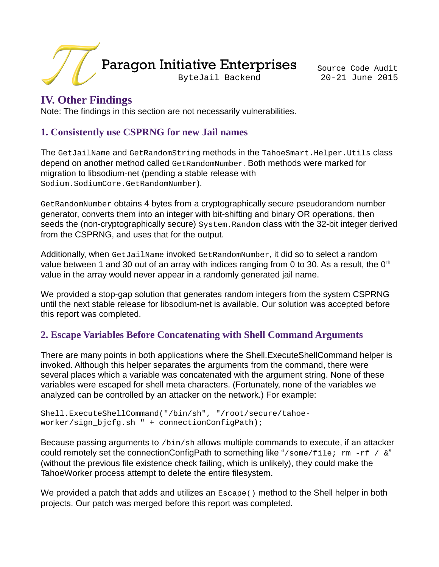

### **IV. Other Findings**

Note: The findings in this section are not necessarily vulnerabilities.

#### **1. Consistently use CSPRNG for new Jail names**

The GetJailName and GetRandomString methods in the TahoeSmart.Helper.Utils class depend on another method called GetRandomNumber. Both methods were marked for migration to libsodium-net (pending a stable release with Sodium.SodiumCore.GetRandomNumber).

GetRandomNumber obtains 4 bytes from a cryptographically secure pseudorandom number generator, converts them into an integer with bit-shifting and binary OR operations, then seeds the (non-cryptographically secure) System.Random class with the 32-bit integer derived from the CSPRNG, and uses that for the output.

Additionally, when GetJailName invoked GetRandomNumber, it did so to select a random value between 1 and 30 out of an array with indices ranging from 0 to 30. As a result, the  $0<sup>th</sup>$ value in the array would never appear in a randomly generated jail name.

We provided a stop-gap solution that generates random integers from the system CSPRNG until the next stable release for libsodium-net is available. Our solution was accepted before this report was completed.

#### **2. Escape Variables Before Concatenating with Shell Command Arguments**

There are many points in both applications where the Shell.ExecuteShellCommand helper is invoked. Although this helper separates the arguments from the command, there were several places which a variable was concatenated with the argument string. None of these variables were escaped for shell meta characters. (Fortunately, none of the variables we analyzed can be controlled by an attacker on the network.) For example:

Shell.ExecuteShellCommand("/bin/sh", "/root/secure/tahoeworker/sign\_bjcfg.sh " + connectionConfigPath);

Because passing arguments to /bin/sh allows multiple commands to execute, if an attacker could remotely set the connectionConfigPath to something like "/some/file; rm -rf / &" (without the previous file existence check failing, which is unlikely), they could make the TahoeWorker process attempt to delete the entire filesystem.

We provided a patch that adds and utilizes an Escape() method to the Shell helper in both projects. Our patch was merged before this report was completed.